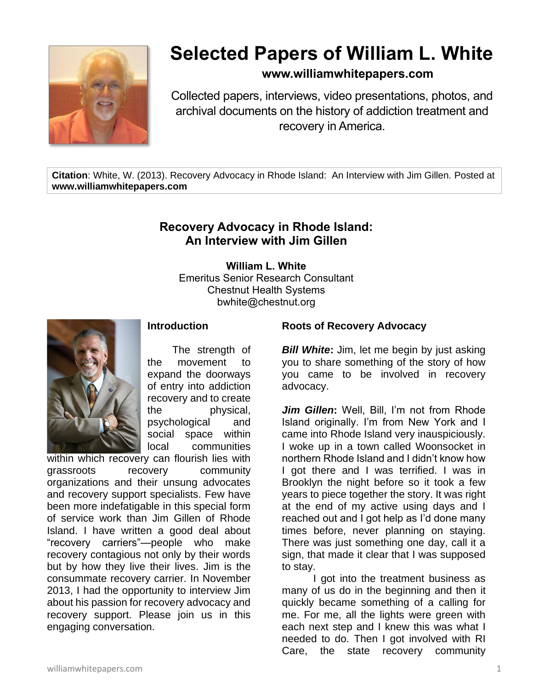

# **Selected Papers of William L. White**

## **www.williamwhitepapers.com**

Collected papers, interviews, video presentations, photos, and archival documents on the history of addiction treatment and recovery in America.

**Citation**: White, W. (2013). Recovery Advocacy in Rhode Island: An Interview with Jim Gillen. Posted at **www.williamwhitepapers.com**

# **Recovery Advocacy in Rhode Island: An Interview with Jim Gillen**

**William L. White** Emeritus Senior Research Consultant Chestnut Health Systems bwhite@chestnut.org



# **Introduction**

The strength of the movement to expand the doorways of entry into addiction recovery and to create the physical, psychological and social space within local communities

within which recovery can flourish lies with grassroots recovery community organizations and their unsung advocates and recovery support specialists. Few have been more indefatigable in this special form of service work than Jim Gillen of Rhode Island. I have written a good deal about "recovery carriers"—people who make recovery contagious not only by their words but by how they live their lives. Jim is the consummate recovery carrier. In November 2013, I had the opportunity to interview Jim about his passion for recovery advocacy and recovery support. Please join us in this engaging conversation.

#### **Roots of Recovery Advocacy**

*Bill White*: Jim, let me begin by just asking you to share something of the story of how you came to be involved in recovery advocacy.

*Jim Gillen***:** Well, Bill, I'm not from Rhode Island originally. I'm from New York and I came into Rhode Island very inauspiciously. I woke up in a town called Woonsocket in northern Rhode Island and I didn't know how I got there and I was terrified. I was in Brooklyn the night before so it took a few years to piece together the story. It was right at the end of my active using days and I reached out and I got help as I'd done many times before, never planning on staying. There was just something one day, call it a sign, that made it clear that I was supposed to stay.

I got into the treatment business as many of us do in the beginning and then it quickly became something of a calling for me. For me, all the lights were green with each next step and I knew this was what I needed to do. Then I got involved with RI Care, the state recovery community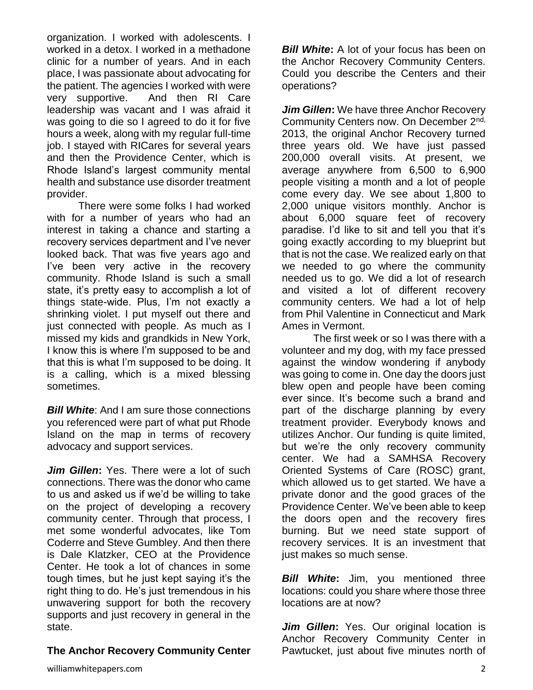organization. I worked with adolescents. I worked in a detox. I worked in a methadone clinic for a number of years. And in each place, I was passionate about advocating for the patient. The agencies I worked with were very supportive. And then RI Care leadership was vacant and I was afraid it was going to die so I agreed to do it for five hours a week, along with my regular full-time job. I stayed with RICares for several years and then the Providence Center, which is Rhode Island's largest community mental health and substance use disorder treatment provider.

There were some folks I had worked with for a number of years who had an interest in taking a chance and starting a recovery services department and I've never looked back. That was five years ago and I've been very active in the recovery community. Rhode Island is such a small state, it's pretty easy to accomplish a lot of things state-wide. Plus, I'm not exactly a shrinking violet. I put myself out there and just connected with people. As much as I missed my kids and grandkids in New York, I know this is where I'm supposed to be and that this is what I'm supposed to be doing. It is a calling, which is a mixed blessing sometimes.

**Bill White:** And I am sure those connections you referenced were part of what put Rhode Island on the map in terms of recovery advocacy and support services.

*Jim Gillen***:** Yes. There were a lot of such connections. There was the donor who came to us and asked us if we'd be willing to take on the project of developing a recovery community center. Through that process, I met some wonderful advocates, like Tom Coderre and Steve Gumbley. And then there is Dale Klatzker, CEO at the Providence Center. He took a lot of chances in some tough times, but he just kept saying it's the right thing to do. He's just tremendous in his unwavering support for both the recovery supports and just recovery in general in the state.

## **The Anchor Recovery Community Center**

**Bill White:** A lot of your focus has been on the Anchor Recovery Community Centers. Could you describe the Centers and their operations?

*Jim Gillen***:** We have three Anchor Recovery Community Centers now. On December 2<sup>nd,</sup> 2013, the original Anchor Recovery turned three years old. We have just passed 200,000 overall visits. At present, we average anywhere from 6,500 to 6,900 people visiting a month and a lot of people come every day. We see about 1,800 to 2,000 unique visitors monthly. Anchor is about 6,000 square feet of recovery paradise. I'd like to sit and tell you that it's going exactly according to my blueprint but that is not the case. We realized early on that we needed to go where the community needed us to go. We did a lot of research and visited a lot of different recovery community centers. We had a lot of help from Phil Valentine in Connecticut and Mark Ames in Vermont.

The first week or so I was there with a volunteer and my dog, with my face pressed against the window wondering if anybody was going to come in. One day the doors just blew open and people have been coming ever since. It's become such a brand and part of the discharge planning by every treatment provider. Everybody knows and utilizes Anchor. Our funding is quite limited, but we're the only recovery community center. We had a SAMHSA Recovery Oriented Systems of Care (ROSC) grant, which allowed us to get started. We have a private donor and the good graces of the Providence Center. We've been able to keep the doors open and the recovery fires burning. But we need state support of recovery services. It is an investment that just makes so much sense.

*Bill White***:** Jim, you mentioned three locations: could you share where those three locations are at now?

*Jim Gillen***:** Yes. Our original location is Anchor Recovery Community Center in Pawtucket, just about five minutes north of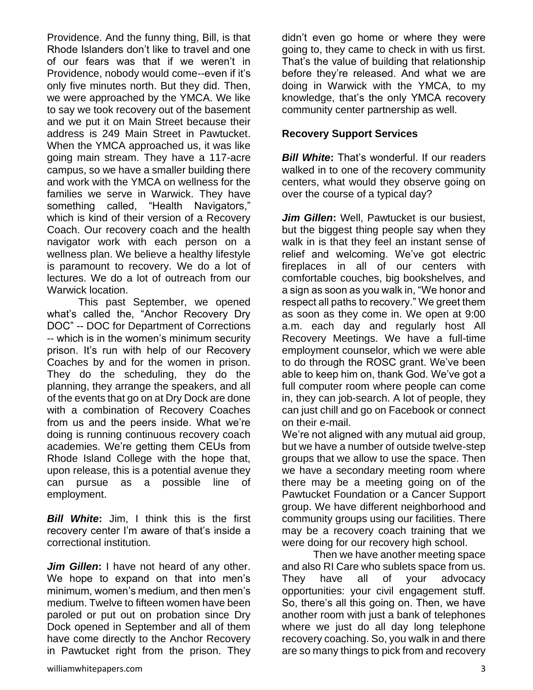Providence. And the funny thing, Bill, is that Rhode Islanders don't like to travel and one of our fears was that if we weren't in Providence, nobody would come--even if it's only five minutes north. But they did. Then, we were approached by the YMCA. We like to say we took recovery out of the basement and we put it on Main Street because their address is 249 Main Street in Pawtucket. When the YMCA approached us, it was like going main stream. They have a 117-acre campus, so we have a smaller building there and work with the YMCA on wellness for the families we serve in Warwick. They have something called, "Health Navigators," which is kind of their version of a Recovery Coach. Our recovery coach and the health navigator work with each person on a wellness plan. We believe a healthy lifestyle is paramount to recovery. We do a lot of lectures. We do a lot of outreach from our Warwick location.

This past September, we opened what's called the, "Anchor Recovery Dry DOC" -- DOC for Department of Corrections -- which is in the women's minimum security prison. It's run with help of our Recovery Coaches by and for the women in prison. They do the scheduling, they do the planning, they arrange the speakers, and all of the events that go on at Dry Dock are done with a combination of Recovery Coaches from us and the peers inside. What we're doing is running continuous recovery coach academies. We're getting them CEUs from Rhode Island College with the hope that, upon release, this is a potential avenue they can pursue as a possible line of employment.

*Bill White***:** Jim, I think this is the first recovery center I'm aware of that's inside a correctional institution.

*Jim Gillen***:** I have not heard of any other. We hope to expand on that into men's minimum, women's medium, and then men's medium. Twelve to fifteen women have been paroled or put out on probation since Dry Dock opened in September and all of them have come directly to the Anchor Recovery in Pawtucket right from the prison. They didn't even go home or where they were going to, they came to check in with us first. That's the value of building that relationship before they're released. And what we are doing in Warwick with the YMCA, to my knowledge, that's the only YMCA recovery community center partnership as well.

#### **Recovery Support Services**

*Bill White*: That's wonderful. If our readers walked in to one of the recovery community centers, what would they observe going on over the course of a typical day?

*Jim Gillen***:** Well, Pawtucket is our busiest, but the biggest thing people say when they walk in is that they feel an instant sense of relief and welcoming. We've got electric fireplaces in all of our centers with comfortable couches, big bookshelves, and a sign as soon as you walk in, "We honor and respect all paths to recovery." We greet them as soon as they come in. We open at 9:00 a.m. each day and regularly host All Recovery Meetings. We have a full-time employment counselor, which we were able to do through the ROSC grant. We've been able to keep him on, thank God. We've got a full computer room where people can come in, they can job-search. A lot of people, they can just chill and go on Facebook or connect on their e-mail.

We're not aligned with any mutual aid group, but we have a number of outside twelve-step groups that we allow to use the space. Then we have a secondary meeting room where there may be a meeting going on of the Pawtucket Foundation or a Cancer Support group. We have different neighborhood and community groups using our facilities. There may be a recovery coach training that we were doing for our recovery high school.

Then we have another meeting space and also RI Care who sublets space from us. They have all of your advocacy opportunities: your civil engagement stuff. So, there's all this going on. Then, we have another room with just a bank of telephones where we just do all day long telephone recovery coaching. So, you walk in and there are so many things to pick from and recovery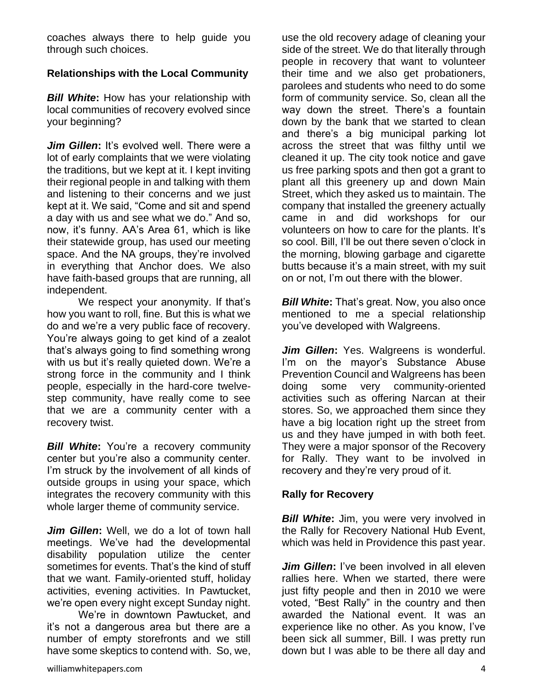coaches always there to help guide you through such choices.

## **Relationships with the Local Community**

*Bill White***:** How has your relationship with local communities of recovery evolved since your beginning?

*Jim Gillen*: It's evolved well. There were a lot of early complaints that we were violating the traditions, but we kept at it. I kept inviting their regional people in and talking with them and listening to their concerns and we just kept at it. We said, "Come and sit and spend a day with us and see what we do." And so, now, it's funny. AA's Area 61, which is like their statewide group, has used our meeting space. And the NA groups, they're involved in everything that Anchor does. We also have faith-based groups that are running, all independent.

We respect your anonymity. If that's how you want to roll, fine. But this is what we do and we're a very public face of recovery. You're always going to get kind of a zealot that's always going to find something wrong with us but it's really quieted down. We're a strong force in the community and I think people, especially in the hard-core twelvestep community, have really come to see that we are a community center with a recovery twist.

**Bill White:** You're a recovery community center but you're also a community center. I'm struck by the involvement of all kinds of outside groups in using your space, which integrates the recovery community with this whole larger theme of community service.

*Jim Gillen***:** Well, we do a lot of town hall meetings. We've had the developmental disability population utilize the center sometimes for events. That's the kind of stuff that we want. Family-oriented stuff, holiday activities, evening activities. In Pawtucket, we're open every night except Sunday night.

We're in downtown Pawtucket, and it's not a dangerous area but there are a number of empty storefronts and we still have some skeptics to contend with. So, we, use the old recovery adage of cleaning your side of the street. We do that literally through people in recovery that want to volunteer their time and we also get probationers, parolees and students who need to do some form of community service. So, clean all the way down the street. There's a fountain down by the bank that we started to clean and there's a big municipal parking lot across the street that was filthy until we cleaned it up. The city took notice and gave us free parking spots and then got a grant to plant all this greenery up and down Main Street, which they asked us to maintain. The company that installed the greenery actually came in and did workshops for our volunteers on how to care for the plants. It's so cool. Bill, I'll be out there seven o'clock in the morning, blowing garbage and cigarette butts because it's a main street, with my suit on or not, I'm out there with the blower.

*Bill White:* That's great. Now, you also once mentioned to me a special relationship you've developed with Walgreens.

*Jim Gillen***:** Yes. Walgreens is wonderful. I'm on the mayor's Substance Abuse Prevention Council and Walgreens has been doing some very community-oriented activities such as offering Narcan at their stores. So, we approached them since they have a big location right up the street from us and they have jumped in with both feet. They were a major sponsor of the Recovery for Rally. They want to be involved in recovery and they're very proud of it.

#### **Rally for Recovery**

*Bill White*: Jim, you were very involved in the Rally for Recovery National Hub Event, which was held in Providence this past year.

*Jim Gillen***:** I've been involved in all eleven rallies here. When we started, there were just fifty people and then in 2010 we were voted, "Best Rally" in the country and then awarded the National event. It was an experience like no other. As you know, I've been sick all summer, Bill. I was pretty run down but I was able to be there all day and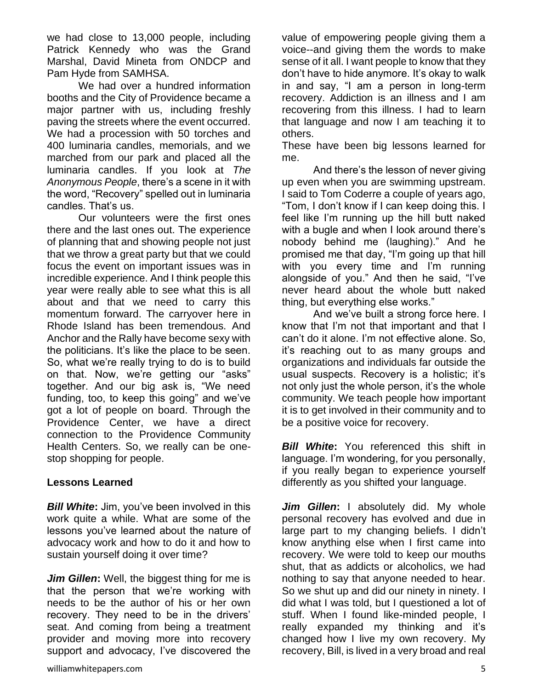we had close to 13,000 people, including Patrick Kennedy who was the Grand Marshal, David Mineta from ONDCP and Pam Hyde from SAMHSA.

We had over a hundred information booths and the City of Providence became a major partner with us, including freshly paving the streets where the event occurred. We had a procession with 50 torches and 400 luminaria candles, memorials, and we marched from our park and placed all the luminaria candles. If you look at *The Anonymous People*, there's a scene in it with the word, "Recovery" spelled out in luminaria candles. That's us.

Our volunteers were the first ones there and the last ones out. The experience of planning that and showing people not just that we throw a great party but that we could focus the event on important issues was in incredible experience. And I think people this year were really able to see what this is all about and that we need to carry this momentum forward. The carryover here in Rhode Island has been tremendous. And Anchor and the Rally have become sexy with the politicians. It's like the place to be seen. So, what we're really trying to do is to build on that. Now, we're getting our "asks" together. And our big ask is, "We need funding, too, to keep this going" and we've got a lot of people on board. Through the Providence Center, we have a direct connection to the Providence Community Health Centers. So, we really can be onestop shopping for people.

#### **Lessons Learned**

*Bill White: Jim, you've been involved in this* work quite a while. What are some of the lessons you've learned about the nature of advocacy work and how to do it and how to sustain yourself doing it over time?

*Jim Gillen***:** Well, the biggest thing for me is that the person that we're working with needs to be the author of his or her own recovery. They need to be in the drivers' seat. And coming from being a treatment provider and moving more into recovery support and advocacy, I've discovered the

value of empowering people giving them a voice--and giving them the words to make sense of it all. I want people to know that they don't have to hide anymore. It's okay to walk in and say, "I am a person in long-term recovery. Addiction is an illness and I am recovering from this illness. I had to learn that language and now I am teaching it to others.

These have been big lessons learned for me.

And there's the lesson of never giving up even when you are swimming upstream. I said to Tom Coderre a couple of years ago, "Tom, I don't know if I can keep doing this. I feel like I'm running up the hill butt naked with a bugle and when I look around there's nobody behind me (laughing)." And he promised me that day, "I'm going up that hill with you every time and I'm running alongside of you." And then he said, "I've never heard about the whole butt naked thing, but everything else works."

And we've built a strong force here. I know that I'm not that important and that I can't do it alone. I'm not effective alone. So, it's reaching out to as many groups and organizations and individuals far outside the usual suspects. Recovery is a holistic; it's not only just the whole person, it's the whole community. We teach people how important it is to get involved in their community and to be a positive voice for recovery.

*Bill White*: You referenced this shift in language. I'm wondering, for you personally, if you really began to experience yourself differently as you shifted your language.

*Jim Gillen***:** I absolutely did. My whole personal recovery has evolved and due in large part to my changing beliefs. I didn't know anything else when I first came into recovery. We were told to keep our mouths shut, that as addicts or alcoholics, we had nothing to say that anyone needed to hear. So we shut up and did our ninety in ninety. I did what I was told, but I questioned a lot of stuff. When I found like-minded people, I really expanded my thinking and it's changed how I live my own recovery. My recovery, Bill, is lived in a very broad and real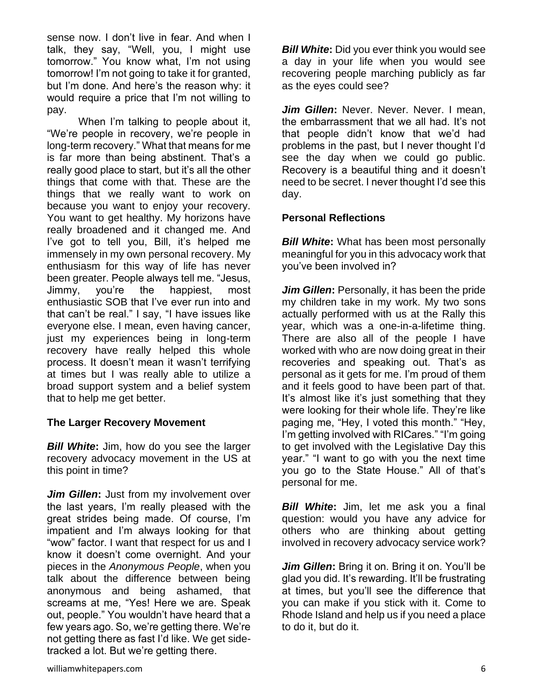sense now. I don't live in fear. And when I talk, they say, "Well, you, I might use tomorrow." You know what, I'm not using tomorrow! I'm not going to take it for granted, but I'm done. And here's the reason why: it would require a price that I'm not willing to pay.

When I'm talking to people about it, "We're people in recovery, we're people in long-term recovery." What that means for me is far more than being abstinent. That's a really good place to start, but it's all the other things that come with that. These are the things that we really want to work on because you want to enjoy your recovery. You want to get healthy. My horizons have really broadened and it changed me. And I've got to tell you, Bill, it's helped me immensely in my own personal recovery. My enthusiasm for this way of life has never been greater. People always tell me. "Jesus, Jimmy, you're the happiest, most enthusiastic SOB that I've ever run into and that can't be real." I say, "I have issues like everyone else. I mean, even having cancer, just my experiences being in long-term recovery have really helped this whole process. It doesn't mean it wasn't terrifying at times but I was really able to utilize a broad support system and a belief system that to help me get better.

#### **The Larger Recovery Movement**

*Bill White***:** Jim, how do you see the larger recovery advocacy movement in the US at this point in time?

*Jim Gillen***:** Just from my involvement over the last years, I'm really pleased with the great strides being made. Of course, I'm impatient and I'm always looking for that "wow" factor. I want that respect for us and I know it doesn't come overnight. And your pieces in the *Anonymous People*, when you talk about the difference between being anonymous and being ashamed, that screams at me, "Yes! Here we are. Speak out, people." You wouldn't have heard that a few years ago. So, we're getting there. We're not getting there as fast I'd like. We get sidetracked a lot. But we're getting there.

*Bill White:* Did you ever think you would see a day in your life when you would see recovering people marching publicly as far as the eyes could see?

*Jim Gillen***:** Never. Never. Never. I mean, the embarrassment that we all had. It's not that people didn't know that we'd had problems in the past, but I never thought I'd see the day when we could go public. Recovery is a beautiful thing and it doesn't need to be secret. I never thought I'd see this day.

## **Personal Reflections**

*Bill White:* What has been most personally meaningful for you in this advocacy work that you've been involved in?

*Jim Gillen***:** Personally, it has been the pride my children take in my work. My two sons actually performed with us at the Rally this year, which was a one-in-a-lifetime thing. There are also all of the people I have worked with who are now doing great in their recoveries and speaking out. That's as personal as it gets for me. I'm proud of them and it feels good to have been part of that. It's almost like it's just something that they were looking for their whole life. They're like paging me, "Hey, I voted this month." "Hey, I'm getting involved with RICares." "I'm going to get involved with the Legislative Day this year." "I want to go with you the next time you go to the State House." All of that's personal for me.

*Bill White***:** Jim, let me ask you a final question: would you have any advice for others who are thinking about getting involved in recovery advocacy service work?

*Jim Gillen***:** Bring it on. Bring it on. You'll be glad you did. It's rewarding. It'll be frustrating at times, but you'll see the difference that you can make if you stick with it. Come to Rhode Island and help us if you need a place to do it, but do it.